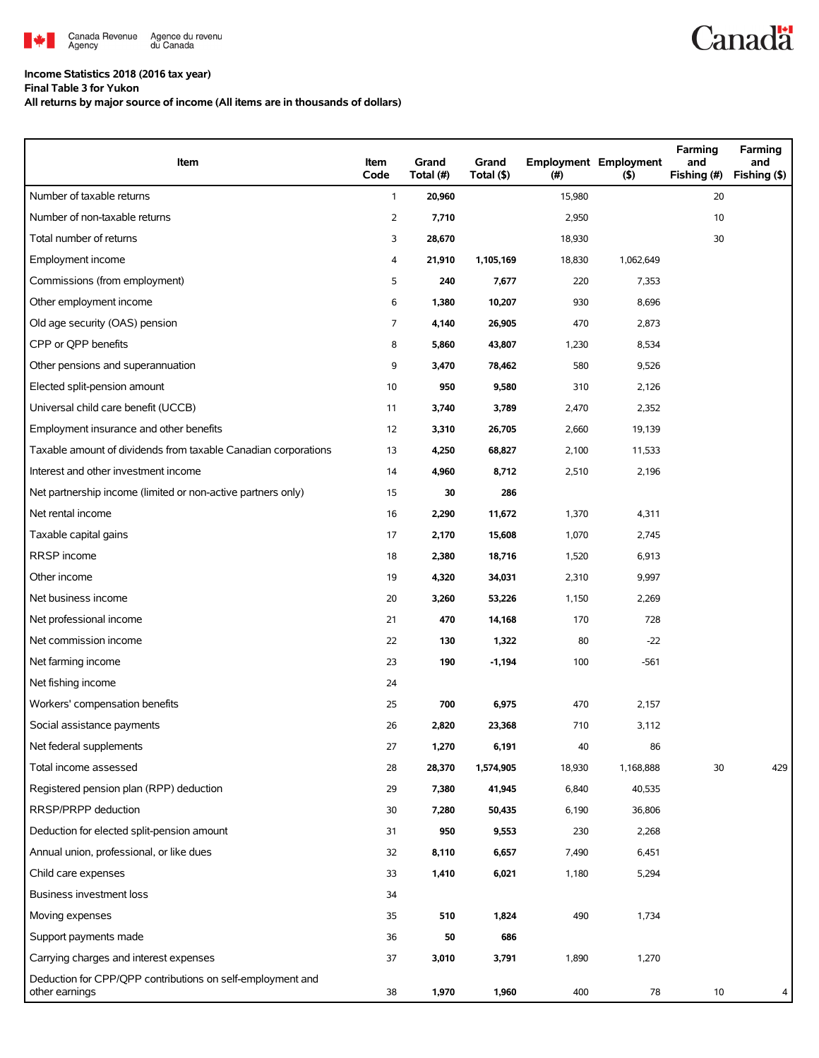

### **Income Statistics 2018 (2016 tax year)**

**Final Table 3 for Yukon**

**All returns by major source of income (All items are in thousands of dollars)**

| Item                                                                         | Item<br>Code   | Grand<br>Total (#) | Grand<br>Total (\$) | (#)    | <b>Employment Employment</b><br>(5) | Farming<br>and<br>Fishing (#) | Farming<br>and<br>Fishing (\$) |
|------------------------------------------------------------------------------|----------------|--------------------|---------------------|--------|-------------------------------------|-------------------------------|--------------------------------|
| Number of taxable returns                                                    | $\mathbf{1}$   | 20,960             |                     | 15,980 |                                     | 20                            |                                |
| Number of non-taxable returns                                                | $\overline{2}$ | 7,710              |                     | 2,950  |                                     | 10                            |                                |
| Total number of returns                                                      | 3              | 28,670             |                     | 18,930 |                                     | 30                            |                                |
| Employment income                                                            | 4              | 21,910             | 1,105,169           | 18,830 | 1,062,649                           |                               |                                |
| Commissions (from employment)                                                | 5              | 240                | 7,677               | 220    | 7,353                               |                               |                                |
| Other employment income                                                      | 6              | 1,380              | 10,207              | 930    | 8,696                               |                               |                                |
| Old age security (OAS) pension                                               | 7              | 4,140              | 26,905              | 470    | 2,873                               |                               |                                |
| CPP or QPP benefits                                                          | 8              | 5,860              | 43,807              | 1,230  | 8,534                               |                               |                                |
| Other pensions and superannuation                                            | 9              | 3,470              | 78,462              | 580    | 9,526                               |                               |                                |
| Elected split-pension amount                                                 | 10             | 950                | 9,580               | 310    | 2,126                               |                               |                                |
| Universal child care benefit (UCCB)                                          | 11             | 3,740              | 3,789               | 2,470  | 2,352                               |                               |                                |
| Employment insurance and other benefits                                      | 12             | 3,310              | 26,705              | 2,660  | 19,139                              |                               |                                |
| Taxable amount of dividends from taxable Canadian corporations               | 13             | 4,250              | 68,827              | 2,100  | 11,533                              |                               |                                |
| Interest and other investment income                                         | 14             | 4,960              | 8,712               | 2,510  | 2,196                               |                               |                                |
| Net partnership income (limited or non-active partners only)                 | 15             | 30                 | 286                 |        |                                     |                               |                                |
| Net rental income                                                            | 16             | 2,290              | 11,672              | 1,370  | 4,311                               |                               |                                |
| Taxable capital gains                                                        | 17             | 2,170              | 15,608              | 1,070  | 2,745                               |                               |                                |
| RRSP income                                                                  | 18             | 2,380              | 18,716              | 1,520  | 6,913                               |                               |                                |
| Other income                                                                 | 19             | 4,320              | 34,031              | 2,310  | 9,997                               |                               |                                |
| Net business income                                                          | 20             | 3,260              | 53,226              | 1,150  | 2,269                               |                               |                                |
| Net professional income                                                      | 21             | 470                | 14,168              | 170    | 728                                 |                               |                                |
| Net commission income                                                        | 22             | 130                | 1,322               | 80     | $-22$                               |                               |                                |
| Net farming income                                                           | 23             | 190                | $-1,194$            | 100    | $-561$                              |                               |                                |
| Net fishing income                                                           | 24             |                    |                     |        |                                     |                               |                                |
| Workers' compensation benefits                                               | 25             | 700                | 6,975               | 470    | 2,157                               |                               |                                |
| Social assistance payments                                                   | 26             | 2,820              | 23,368              | 710    | 3,112                               |                               |                                |
| Net federal supplements                                                      | 27             | 1,270              | 6,191               | 40     | 86                                  |                               |                                |
| Total income assessed                                                        | 28             | 28,370             | 1,574,905           | 18,930 | 1,168,888                           | 30                            | 429                            |
| Registered pension plan (RPP) deduction                                      | 29             | 7,380              | 41,945              | 6,840  | 40,535                              |                               |                                |
| RRSP/PRPP deduction                                                          | 30             | 7,280              | 50,435              | 6,190  | 36,806                              |                               |                                |
| Deduction for elected split-pension amount                                   | 31             | 950                | 9,553               | 230    | 2,268                               |                               |                                |
| Annual union, professional, or like dues                                     | 32             | 8,110              | 6,657               | 7,490  | 6,451                               |                               |                                |
| Child care expenses                                                          | 33             | 1,410              | 6,021               | 1,180  | 5,294                               |                               |                                |
| Business investment loss                                                     | 34             |                    |                     |        |                                     |                               |                                |
| Moving expenses                                                              | 35             | 510                | 1,824               | 490    | 1,734                               |                               |                                |
| Support payments made                                                        | 36             | 50                 | 686                 |        |                                     |                               |                                |
| Carrying charges and interest expenses                                       | 37             | 3,010              | 3,791               | 1,890  | 1,270                               |                               |                                |
| Deduction for CPP/QPP contributions on self-employment and<br>other earnings | 38             | 1,970              | 1,960               | 400    | 78                                  | 10                            | 4                              |

**Canadä**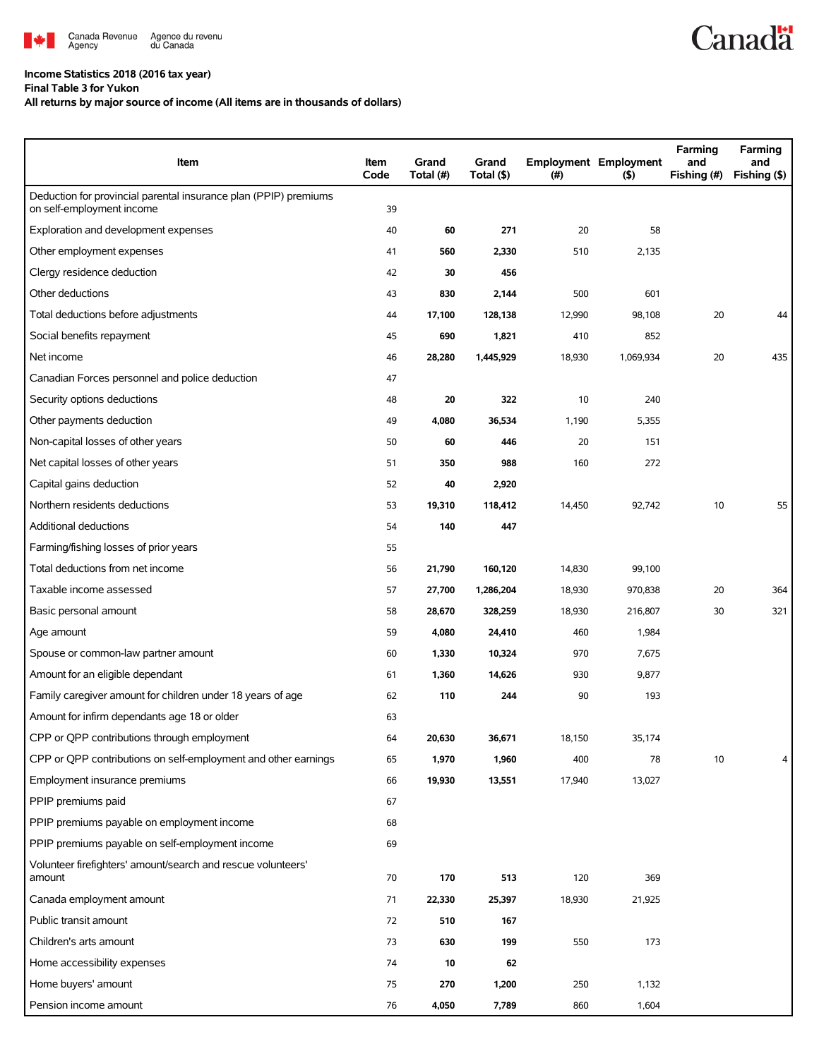

## **Income Statistics 2018 (2016 tax year)**

**Final Table 3 for Yukon**

## **All returns by major source of income (All items are in thousands of dollars)**

| Item                                                                                          | Item<br>Code | Grand<br>Total (#) | Grand<br>Total (\$) | (# )   | <b>Employment Employment</b><br>$($ \$) | Farming<br>and<br>Fishing (#) | Farming<br>and<br>Fishing (\$) |
|-----------------------------------------------------------------------------------------------|--------------|--------------------|---------------------|--------|-----------------------------------------|-------------------------------|--------------------------------|
| Deduction for provincial parental insurance plan (PPIP) premiums<br>on self-employment income | 39           |                    |                     |        |                                         |                               |                                |
| Exploration and development expenses                                                          | 40           | 60                 | 271                 | 20     | 58                                      |                               |                                |
| Other employment expenses                                                                     | 41           | 560                | 2,330               | 510    | 2,135                                   |                               |                                |
| Clergy residence deduction                                                                    | 42           | 30                 | 456                 |        |                                         |                               |                                |
| Other deductions                                                                              | 43           | 830                | 2,144               | 500    | 601                                     |                               |                                |
| Total deductions before adjustments                                                           | 44           | 17,100             | 128,138             | 12,990 | 98,108                                  | 20                            | 44                             |
| Social benefits repayment                                                                     | 45           | 690                | 1,821               | 410    | 852                                     |                               |                                |
| Net income                                                                                    | 46           | 28,280             | 1,445,929           | 18,930 | 1,069,934                               | 20                            | 435                            |
| Canadian Forces personnel and police deduction                                                | 47           |                    |                     |        |                                         |                               |                                |
| Security options deductions                                                                   | 48           | 20                 | 322                 | 10     | 240                                     |                               |                                |
| Other payments deduction                                                                      | 49           | 4,080              | 36,534              | 1,190  | 5,355                                   |                               |                                |
| Non-capital losses of other years                                                             | 50           | 60                 | 446                 | 20     | 151                                     |                               |                                |
| Net capital losses of other years                                                             | 51           | 350                | 988                 | 160    | 272                                     |                               |                                |
| Capital gains deduction                                                                       | 52           | 40                 | 2,920               |        |                                         |                               |                                |
| Northern residents deductions                                                                 | 53           | 19,310             | 118,412             | 14,450 | 92,742                                  | 10                            | 55                             |
| Additional deductions                                                                         | 54           | 140                | 447                 |        |                                         |                               |                                |
| Farming/fishing losses of prior years                                                         | 55           |                    |                     |        |                                         |                               |                                |
| Total deductions from net income                                                              | 56           | 21,790             | 160,120             | 14,830 | 99,100                                  |                               |                                |
| Taxable income assessed                                                                       | 57           | 27,700             | 1,286,204           | 18,930 | 970,838                                 | 20                            | 364                            |
| Basic personal amount                                                                         | 58           | 28,670             | 328,259             | 18,930 | 216,807                                 | 30                            | 321                            |
| Age amount                                                                                    | 59           | 4,080              | 24,410              | 460    | 1,984                                   |                               |                                |
| Spouse or common-law partner amount                                                           | 60           | 1,330              | 10,324              | 970    | 7,675                                   |                               |                                |
| Amount for an eligible dependant                                                              | 61           | 1,360              | 14,626              | 930    | 9,877                                   |                               |                                |
| Family caregiver amount for children under 18 years of age                                    | 62           | 110                | 244                 | 90     | 193                                     |                               |                                |
| Amount for infirm dependants age 18 or older                                                  | 63           |                    |                     |        |                                         |                               |                                |
| CPP or QPP contributions through employment                                                   | 64           | 20,630             | 36,671              | 18,150 | 35,174                                  |                               |                                |
| CPP or OPP contributions on self-employment and other earnings                                | 65           | 1,970              | 1,960               | 400    | 78                                      | 10                            | 4                              |
| Employment insurance premiums                                                                 | 66           | 19,930             | 13,551              | 17,940 | 13,027                                  |                               |                                |
| PPIP premiums paid                                                                            | 67           |                    |                     |        |                                         |                               |                                |
| PPIP premiums payable on employment income                                                    | 68           |                    |                     |        |                                         |                               |                                |
| PPIP premiums payable on self-employment income                                               | 69           |                    |                     |        |                                         |                               |                                |
| Volunteer firefighters' amount/search and rescue volunteers'<br>amount                        | 70           | 170                | 513                 | 120    | 369                                     |                               |                                |
| Canada employment amount                                                                      | 71           | 22,330             | 25,397              | 18,930 | 21,925                                  |                               |                                |
| Public transit amount                                                                         | 72           | 510                | 167                 |        |                                         |                               |                                |
| Children's arts amount                                                                        | 73           | 630                | 199                 | 550    | 173                                     |                               |                                |
| Home accessibility expenses                                                                   | 74           | 10                 | 62                  |        |                                         |                               |                                |
| Home buyers' amount                                                                           | 75           | 270                | 1,200               | 250    | 1,132                                   |                               |                                |
| Pension income amount                                                                         | 76           | 4,050              | 7,789               | 860    | 1,604                                   |                               |                                |

**Canadä**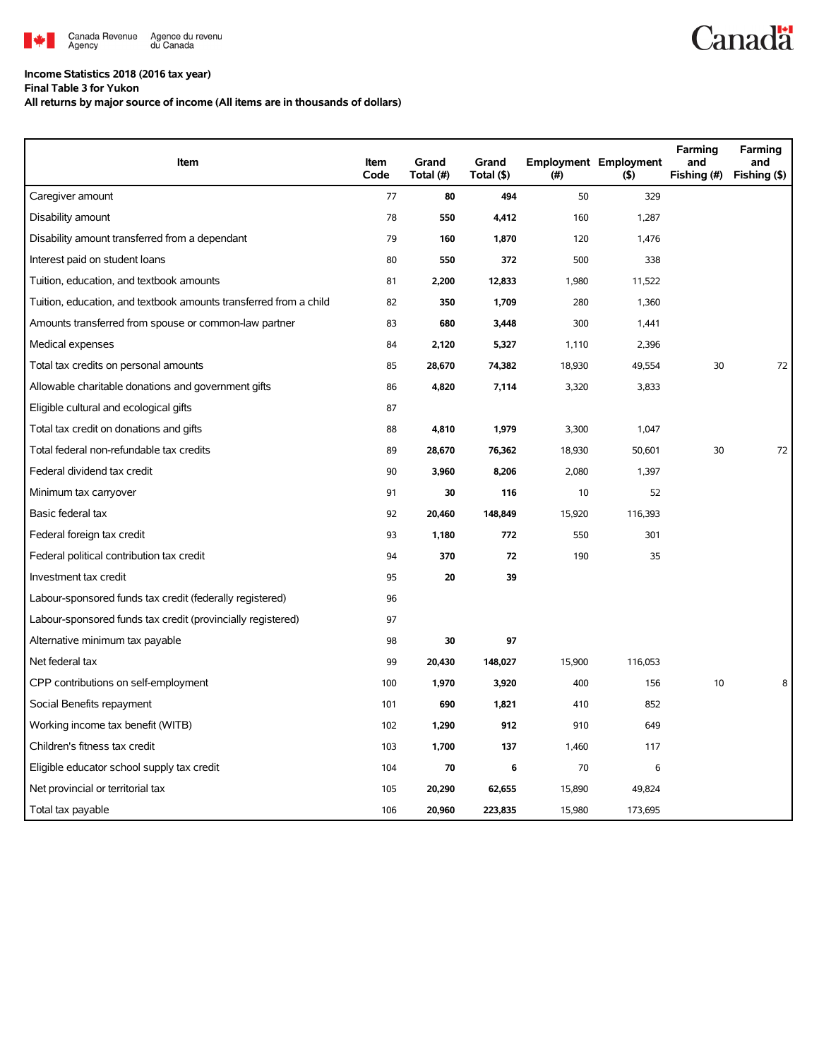

### **Income Statistics 2018 (2016 tax year)**

**Final Table 3 for Yukon**

**All returns by major source of income (All items are in thousands of dollars)**

| Item                                                              | Item<br>Code | Grand<br>Total (#) | Grand<br>Total (\$) | $(\#)$ | <b>Employment Employment</b><br>(5) | Farming<br>and<br>Fishing (#) | Farming<br>and<br>Fishing (\$) |
|-------------------------------------------------------------------|--------------|--------------------|---------------------|--------|-------------------------------------|-------------------------------|--------------------------------|
| Caregiver amount                                                  | 77           | 80                 | 494                 | 50     | 329                                 |                               |                                |
| Disability amount                                                 | 78           | 550                | 4,412               | 160    | 1,287                               |                               |                                |
| Disability amount transferred from a dependant                    | 79           | 160                | 1,870               | 120    | 1,476                               |                               |                                |
| Interest paid on student loans                                    | 80           | 550                | 372                 | 500    | 338                                 |                               |                                |
| Tuition, education, and textbook amounts                          | 81           | 2,200              | 12,833              | 1,980  | 11,522                              |                               |                                |
| Tuition, education, and textbook amounts transferred from a child | 82           | 350                | 1,709               | 280    | 1,360                               |                               |                                |
| Amounts transferred from spouse or common-law partner             | 83           | 680                | 3,448               | 300    | 1,441                               |                               |                                |
| Medical expenses                                                  | 84           | 2,120              | 5,327               | 1,110  | 2,396                               |                               |                                |
| Total tax credits on personal amounts                             | 85           | 28,670             | 74,382              | 18,930 | 49,554                              | 30                            | 72                             |
| Allowable charitable donations and government gifts               | 86           | 4,820              | 7,114               | 3,320  | 3,833                               |                               |                                |
| Eligible cultural and ecological gifts                            | 87           |                    |                     |        |                                     |                               |                                |
| Total tax credit on donations and gifts                           | 88           | 4,810              | 1,979               | 3,300  | 1,047                               |                               |                                |
| Total federal non-refundable tax credits                          | 89           | 28,670             | 76,362              | 18,930 | 50,601                              | 30                            | 72                             |
| Federal dividend tax credit                                       | 90           | 3,960              | 8,206               | 2,080  | 1,397                               |                               |                                |
| Minimum tax carryover                                             | 91           | 30                 | 116                 | 10     | 52                                  |                               |                                |
| Basic federal tax                                                 | 92           | 20,460             | 148,849             | 15,920 | 116,393                             |                               |                                |
| Federal foreign tax credit                                        | 93           | 1,180              | 772                 | 550    | 301                                 |                               |                                |
| Federal political contribution tax credit                         | 94           | 370                | 72                  | 190    | 35                                  |                               |                                |
| Investment tax credit                                             | 95           | 20                 | 39                  |        |                                     |                               |                                |
| Labour-sponsored funds tax credit (federally registered)          | 96           |                    |                     |        |                                     |                               |                                |
| Labour-sponsored funds tax credit (provincially registered)       | 97           |                    |                     |        |                                     |                               |                                |
| Alternative minimum tax payable                                   | 98           | 30                 | 97                  |        |                                     |                               |                                |
| Net federal tax                                                   | 99           | 20,430             | 148,027             | 15,900 | 116,053                             |                               |                                |
| CPP contributions on self-employment                              | 100          | 1,970              | 3,920               | 400    | 156                                 | 10                            |                                |
| Social Benefits repayment                                         | 101          | 690                | 1,821               | 410    | 852                                 |                               |                                |
| Working income tax benefit (WITB)                                 | 102          | 1,290              | 912                 | 910    | 649                                 |                               |                                |
| Children's fitness tax credit                                     | 103          | 1,700              | 137                 | 1,460  | 117                                 |                               |                                |
| Eligible educator school supply tax credit                        | 104          | 70                 | 6                   | 70     | 6                                   |                               |                                |
| Net provincial or territorial tax                                 | 105          | 20,290             | 62,655              | 15,890 | 49,824                              |                               |                                |
| Total tax payable                                                 | 106          | 20,960             | 223,835             | 15,980 | 173,695                             |                               |                                |

# **Canadä**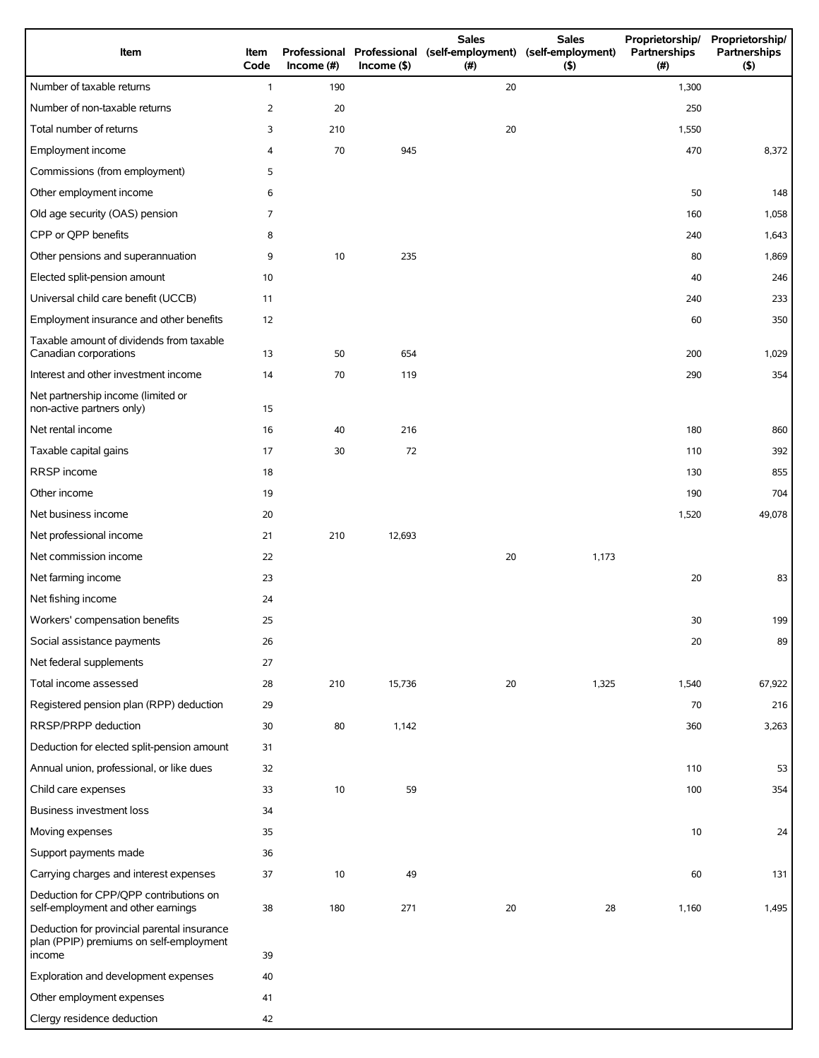| Item                                                                                             | Item<br>Code   | Income $(\#)$ | $Income$ (\$) | <b>Sales</b><br>(#) | <b>Sales</b><br>Proprietorship/<br>Professional Professional (self-employment) (self-employment)<br>Partnerships<br>(5) |       | Proprietorship/<br>Partnerships<br>(5) |
|--------------------------------------------------------------------------------------------------|----------------|---------------|---------------|---------------------|-------------------------------------------------------------------------------------------------------------------------|-------|----------------------------------------|
| Number of taxable returns                                                                        | $\mathbf{1}$   | 190           |               | 20                  |                                                                                                                         | 1,300 |                                        |
| Number of non-taxable returns                                                                    | $\overline{2}$ | 20            |               |                     |                                                                                                                         | 250   |                                        |
| Total number of returns                                                                          | 3              | 210           |               | 20                  |                                                                                                                         | 1,550 |                                        |
| Employment income                                                                                | 4              | 70            | 945           |                     |                                                                                                                         | 470   | 8,372                                  |
| Commissions (from employment)                                                                    | 5              |               |               |                     |                                                                                                                         |       |                                        |
| Other employment income                                                                          | 6              |               |               |                     |                                                                                                                         | 50    | 148                                    |
| Old age security (OAS) pension                                                                   | 7              |               |               |                     |                                                                                                                         | 160   | 1,058                                  |
| CPP or QPP benefits                                                                              | 8              |               |               |                     |                                                                                                                         | 240   | 1,643                                  |
| Other pensions and superannuation                                                                | 9              | 10            | 235           |                     |                                                                                                                         | 80    | 1,869                                  |
| Elected split-pension amount                                                                     | 10             |               |               |                     |                                                                                                                         | 40    | 246                                    |
| Universal child care benefit (UCCB)                                                              | 11             |               |               |                     |                                                                                                                         | 240   | 233                                    |
| Employment insurance and other benefits                                                          | 12             |               |               |                     |                                                                                                                         | 60    | 350                                    |
| Taxable amount of dividends from taxable<br>Canadian corporations                                | 13             | 50            | 654           |                     |                                                                                                                         | 200   | 1,029                                  |
| Interest and other investment income                                                             | 14             | 70            | 119           |                     |                                                                                                                         | 290   | 354                                    |
| Net partnership income (limited or<br>non-active partners only)                                  | 15             |               |               |                     |                                                                                                                         |       |                                        |
| Net rental income                                                                                | 16             | 40            | 216           |                     |                                                                                                                         | 180   | 860                                    |
| Taxable capital gains                                                                            | 17             | 30            | 72            |                     |                                                                                                                         | 110   | 392                                    |
| RRSP income                                                                                      | 18             |               |               |                     |                                                                                                                         | 130   | 855                                    |
| Other income                                                                                     | 19             |               |               |                     |                                                                                                                         | 190   | 704                                    |
| Net business income                                                                              | 20             |               |               |                     |                                                                                                                         | 1,520 | 49,078                                 |
| Net professional income                                                                          | 21             | 210           | 12,693        |                     |                                                                                                                         |       |                                        |
| Net commission income                                                                            | 22             |               |               | 20                  | 1,173                                                                                                                   |       |                                        |
| Net farming income                                                                               | 23             |               |               |                     |                                                                                                                         | 20    | 83                                     |
| Net fishing income                                                                               | 24             |               |               |                     |                                                                                                                         |       |                                        |
| Workers' compensation benefits                                                                   | 25             |               |               |                     |                                                                                                                         | 30    | 199                                    |
| Social assistance payments                                                                       | 26             |               |               |                     |                                                                                                                         | 20    | 89                                     |
| Net federal supplements                                                                          | 27             |               |               |                     |                                                                                                                         |       |                                        |
| Total income assessed                                                                            | 28             | 210           | 15,736        | 20                  | 1,325                                                                                                                   | 1,540 | 67,922                                 |
| Registered pension plan (RPP) deduction                                                          | 29             |               |               |                     |                                                                                                                         | 70    | 216                                    |
| RRSP/PRPP deduction                                                                              | 30             | 80            | 1,142         |                     |                                                                                                                         | 360   | 3,263                                  |
| Deduction for elected split-pension amount                                                       | 31             |               |               |                     |                                                                                                                         |       |                                        |
| Annual union, professional, or like dues                                                         | 32             |               |               |                     |                                                                                                                         | 110   | 53                                     |
| Child care expenses                                                                              | 33             | 10            | 59            |                     |                                                                                                                         | 100   | 354                                    |
| <b>Business investment loss</b>                                                                  | 34             |               |               |                     |                                                                                                                         |       |                                        |
| Moving expenses                                                                                  | 35             |               |               |                     |                                                                                                                         | 10    | 24                                     |
| Support payments made                                                                            | 36             |               |               |                     |                                                                                                                         |       |                                        |
| Carrying charges and interest expenses                                                           | 37             | 10            | 49            |                     |                                                                                                                         | 60    | 131                                    |
| Deduction for CPP/QPP contributions on<br>self-employment and other earnings                     | 38             | 180           | 271           | 20                  | 28                                                                                                                      | 1,160 | 1,495                                  |
| Deduction for provincial parental insurance<br>plan (PPIP) premiums on self-employment<br>income | 39             |               |               |                     |                                                                                                                         |       |                                        |
| Exploration and development expenses                                                             | 40             |               |               |                     |                                                                                                                         |       |                                        |
| Other employment expenses                                                                        | 41             |               |               |                     |                                                                                                                         |       |                                        |
| Clergy residence deduction                                                                       | 42             |               |               |                     |                                                                                                                         |       |                                        |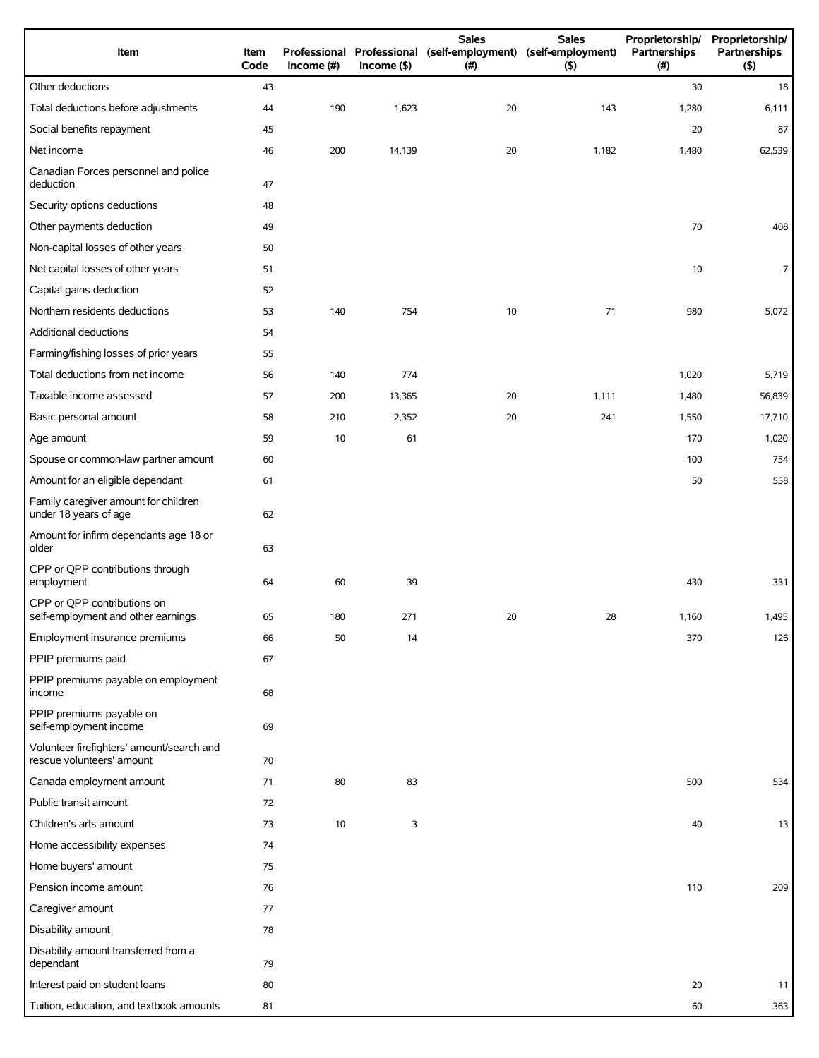| Item                                                                   | Item<br>Code | Income $(\#)$ | Income( | <b>Sales</b><br>Professional Professional (self-employment) (self-employment)<br>(# ) | <b>Sales</b><br>(5) | Proprietorship/<br>Partnerships<br>(#) | Proprietorship/<br>Partnerships<br>(5) |
|------------------------------------------------------------------------|--------------|---------------|---------|---------------------------------------------------------------------------------------|---------------------|----------------------------------------|----------------------------------------|
| Other deductions                                                       | 43           |               |         |                                                                                       |                     | 30                                     | 18                                     |
| Total deductions before adjustments                                    | 44           | 190           | 1,623   | 20                                                                                    | 143                 | 1,280                                  | 6,111                                  |
| Social benefits repayment                                              | 45           |               |         |                                                                                       |                     | 20                                     | 87                                     |
| Net income                                                             | 46           | 200           | 14,139  | 20                                                                                    | 1,182               | 1,480                                  | 62,539                                 |
| Canadian Forces personnel and police<br>deduction                      | 47           |               |         |                                                                                       |                     |                                        |                                        |
| Security options deductions                                            | 48           |               |         |                                                                                       |                     |                                        |                                        |
| Other payments deduction                                               | 49           |               |         |                                                                                       |                     | 70                                     | 408                                    |
| Non-capital losses of other years                                      | 50           |               |         |                                                                                       |                     |                                        |                                        |
| Net capital losses of other years                                      | 51           |               |         |                                                                                       |                     | 10                                     | 7                                      |
| Capital gains deduction                                                | 52           |               |         |                                                                                       |                     |                                        |                                        |
| Northern residents deductions                                          | 53           | 140           | 754     | 10                                                                                    | 71                  | 980                                    | 5,072                                  |
| Additional deductions                                                  | 54           |               |         |                                                                                       |                     |                                        |                                        |
| Farming/fishing losses of prior years                                  | 55           |               |         |                                                                                       |                     |                                        |                                        |
| Total deductions from net income                                       | 56           | 140           | 774     |                                                                                       |                     | 1,020                                  | 5,719                                  |
| Taxable income assessed                                                | 57           | 200           | 13,365  | 20                                                                                    | 1,111               | 1,480                                  | 56,839                                 |
| Basic personal amount                                                  | 58           | 210           | 2,352   | 20                                                                                    | 241                 | 1,550                                  | 17,710                                 |
| Age amount                                                             | 59           | 10            | 61      |                                                                                       |                     | 170                                    | 1,020                                  |
| Spouse or common-law partner amount                                    | 60           |               |         |                                                                                       |                     | 100                                    | 754                                    |
| Amount for an eligible dependant                                       | 61           |               |         |                                                                                       |                     | 50                                     | 558                                    |
| Family caregiver amount for children<br>under 18 years of age          | 62           |               |         |                                                                                       |                     |                                        |                                        |
| Amount for infirm dependants age 18 or<br>older                        | 63           |               |         |                                                                                       |                     |                                        |                                        |
| CPP or QPP contributions through<br>employment                         | 64           | 60            | 39      |                                                                                       |                     | 430                                    | 331                                    |
| CPP or QPP contributions on<br>self-employment and other earnings      | 65           | 180           | 271     | 20                                                                                    | 28                  | 1,160                                  | 1,495                                  |
| Employment insurance premiums                                          | 66           | 50            | 14      |                                                                                       |                     | 370                                    | 126                                    |
| PPIP premiums paid                                                     | 67           |               |         |                                                                                       |                     |                                        |                                        |
| PPIP premiums payable on employment<br>income                          | 68           |               |         |                                                                                       |                     |                                        |                                        |
| PPIP premiums payable on<br>self-employment income                     | 69           |               |         |                                                                                       |                     |                                        |                                        |
| Volunteer firefighters' amount/search and<br>rescue volunteers' amount | 70           |               |         |                                                                                       |                     |                                        |                                        |
| Canada employment amount                                               | 71           | 80            | 83      |                                                                                       |                     | 500                                    | 534                                    |
| Public transit amount                                                  | 72           |               |         |                                                                                       |                     |                                        |                                        |
| Children's arts amount                                                 | 73           | 10            | 3       |                                                                                       |                     | 40                                     | 13                                     |
| Home accessibility expenses                                            | 74           |               |         |                                                                                       |                     |                                        |                                        |
| Home buyers' amount                                                    | 75           |               |         |                                                                                       |                     |                                        |                                        |
| Pension income amount                                                  | 76           |               |         |                                                                                       |                     | 110                                    | 209                                    |
| Caregiver amount                                                       | 77           |               |         |                                                                                       |                     |                                        |                                        |
| Disability amount                                                      | 78           |               |         |                                                                                       |                     |                                        |                                        |
| Disability amount transferred from a<br>dependant                      | 79           |               |         |                                                                                       |                     |                                        |                                        |
| Interest paid on student loans                                         | 80           |               |         |                                                                                       |                     | 20                                     | 11                                     |
| Tuition, education, and textbook amounts                               | 81           |               |         |                                                                                       |                     | 60                                     | 363                                    |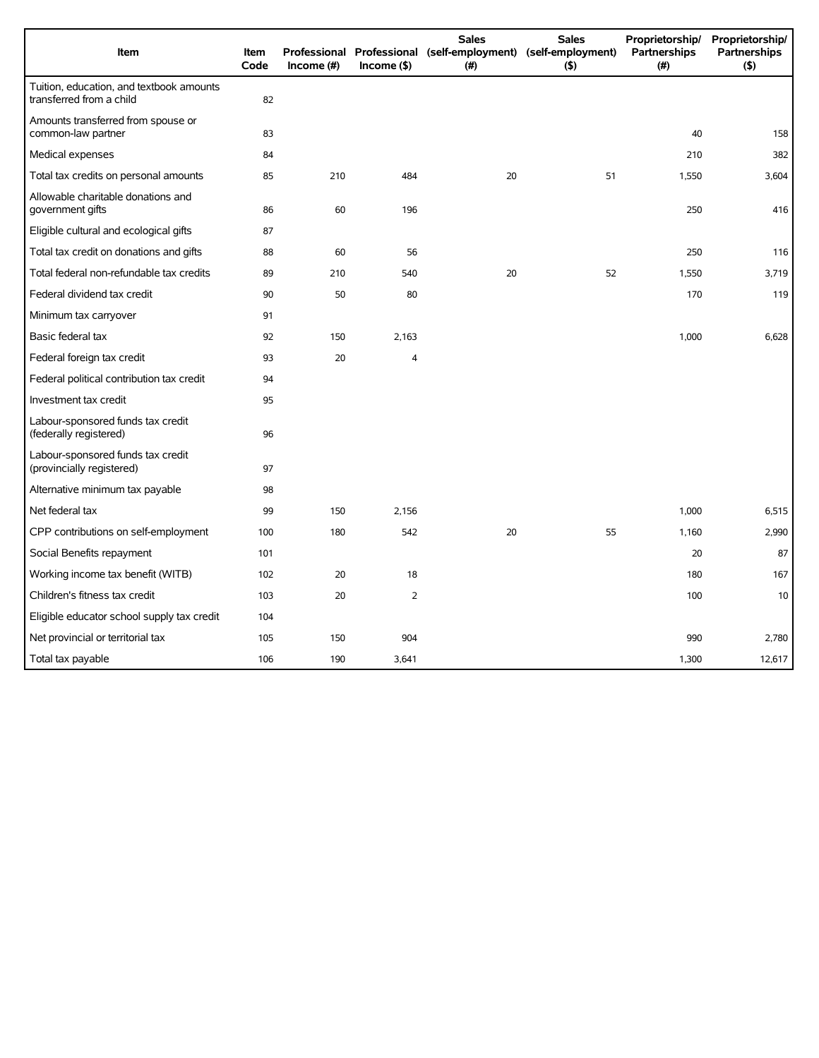| Item                                                                 | Item<br>Code | Income $(\#)$ | $Income($ \$)  | <b>Sales</b><br>Professional Professional (self-employment) (self-employment)<br>(#) | <b>Sales</b><br>(5) | Proprietorship/<br>Partnerships<br>(#) | Proprietorship/<br>Partnerships<br>(5) |
|----------------------------------------------------------------------|--------------|---------------|----------------|--------------------------------------------------------------------------------------|---------------------|----------------------------------------|----------------------------------------|
| Tuition, education, and textbook amounts<br>transferred from a child | 82           |               |                |                                                                                      |                     |                                        |                                        |
| Amounts transferred from spouse or<br>common-law partner             | 83           |               |                |                                                                                      |                     | 40                                     | 158                                    |
| Medical expenses                                                     | 84           |               |                |                                                                                      |                     | 210                                    | 382                                    |
| Total tax credits on personal amounts                                | 85           | 210           | 484            | 20                                                                                   | 51                  | 1,550                                  | 3,604                                  |
| Allowable charitable donations and<br>government gifts               | 86           | 60            | 196            |                                                                                      |                     | 250                                    | 416                                    |
| Eligible cultural and ecological gifts                               | 87           |               |                |                                                                                      |                     |                                        |                                        |
| Total tax credit on donations and gifts                              | 88           | 60            | 56             |                                                                                      |                     | 250                                    | 116                                    |
| Total federal non-refundable tax credits                             | 89           | 210           | 540            | 20                                                                                   | 52                  | 1,550                                  | 3,719                                  |
| Federal dividend tax credit                                          | 90           | 50            | 80             |                                                                                      |                     | 170                                    | 119                                    |
| Minimum tax carryover                                                | 91           |               |                |                                                                                      |                     |                                        |                                        |
| Basic federal tax                                                    | 92           | 150           | 2,163          |                                                                                      |                     | 1,000                                  | 6,628                                  |
| Federal foreign tax credit                                           | 93           | 20            | $\overline{4}$ |                                                                                      |                     |                                        |                                        |
| Federal political contribution tax credit                            | 94           |               |                |                                                                                      |                     |                                        |                                        |
| Investment tax credit                                                | 95           |               |                |                                                                                      |                     |                                        |                                        |
| Labour-sponsored funds tax credit<br>(federally registered)          | 96           |               |                |                                                                                      |                     |                                        |                                        |
| Labour-sponsored funds tax credit<br>(provincially registered)       | 97           |               |                |                                                                                      |                     |                                        |                                        |
| Alternative minimum tax payable                                      | 98           |               |                |                                                                                      |                     |                                        |                                        |
| Net federal tax                                                      | 99           | 150           | 2,156          |                                                                                      |                     | 1,000                                  | 6,515                                  |
| CPP contributions on self-employment                                 | 100          | 180           | 542            | 20                                                                                   | 55                  | 1,160                                  | 2,990                                  |
| Social Benefits repayment                                            | 101          |               |                |                                                                                      |                     | 20                                     | 87                                     |
| Working income tax benefit (WITB)                                    | 102          | 20            | 18             |                                                                                      |                     | 180                                    | 167                                    |
| Children's fitness tax credit                                        | 103          | 20            | 2              |                                                                                      |                     | 100                                    | 10                                     |
| Eligible educator school supply tax credit                           | 104          |               |                |                                                                                      |                     |                                        |                                        |
| Net provincial or territorial tax                                    | 105          | 150           | 904            |                                                                                      |                     | 990                                    | 2,780                                  |
| Total tax payable                                                    | 106          | 190           | 3,641          |                                                                                      |                     | 1,300                                  | 12,617                                 |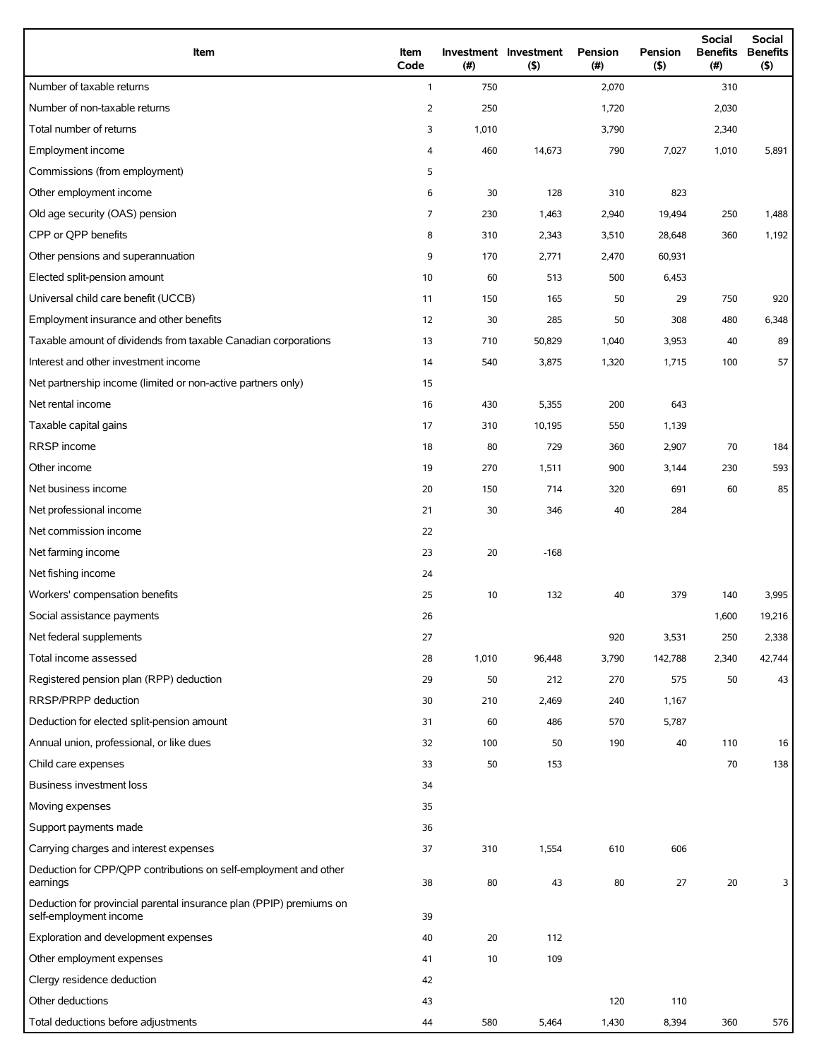| Item                                                                                          | Item<br>Code   | (# )  | Investment Investment<br>(5) | Pension<br>(#) | Pension<br>(5) | <b>Social</b><br><b>Benefits</b><br>(# ) | Social<br><b>Benefits</b><br>(5) |
|-----------------------------------------------------------------------------------------------|----------------|-------|------------------------------|----------------|----------------|------------------------------------------|----------------------------------|
| Number of taxable returns                                                                     | $\mathbf{1}$   | 750   |                              | 2,070          |                | 310                                      |                                  |
| Number of non-taxable returns                                                                 | $\overline{2}$ | 250   |                              | 1,720          |                | 2,030                                    |                                  |
| Total number of returns                                                                       | 3              | 1,010 |                              | 3,790          |                | 2,340                                    |                                  |
| Employment income                                                                             | 4              | 460   | 14,673                       | 790            | 7,027          | 1,010                                    | 5,891                            |
| Commissions (from employment)                                                                 | 5              |       |                              |                |                |                                          |                                  |
| Other employment income                                                                       | 6              | 30    | 128                          | 310            | 823            |                                          |                                  |
| Old age security (OAS) pension                                                                | $\overline{7}$ | 230   | 1,463                        | 2,940          | 19,494         | 250                                      | 1,488                            |
| CPP or QPP benefits                                                                           | 8              | 310   | 2,343                        | 3,510          | 28,648         | 360                                      | 1,192                            |
| Other pensions and superannuation                                                             | 9              | 170   | 2,771                        | 2,470          | 60,931         |                                          |                                  |
| Elected split-pension amount                                                                  | 10             | 60    | 513                          | 500            | 6,453          |                                          |                                  |
| Universal child care benefit (UCCB)                                                           | 11             | 150   | 165                          | 50             | 29             | 750                                      | 920                              |
| Employment insurance and other benefits                                                       | 12             | 30    | 285                          | 50             | 308            | 480                                      | 6,348                            |
| Taxable amount of dividends from taxable Canadian corporations                                | 13             | 710   | 50,829                       | 1,040          | 3,953          | 40                                       | 89                               |
| Interest and other investment income                                                          | 14             | 540   | 3,875                        | 1,320          | 1,715          | 100                                      | 57                               |
| Net partnership income (limited or non-active partners only)                                  | 15             |       |                              |                |                |                                          |                                  |
| Net rental income                                                                             | 16             | 430   | 5,355                        | 200            | 643            |                                          |                                  |
| Taxable capital gains                                                                         | 17             | 310   | 10,195                       | 550            | 1,139          |                                          |                                  |
| RRSP income                                                                                   | 18             | 80    | 729                          | 360            | 2,907          | 70                                       | 184                              |
| Other income                                                                                  | 19             | 270   | 1,511                        | 900            | 3,144          | 230                                      | 593                              |
| Net business income                                                                           | 20             | 150   | 714                          | 320            | 691            | 60                                       | 85                               |
| Net professional income                                                                       | 21             | 30    | 346                          | 40             | 284            |                                          |                                  |
| Net commission income                                                                         | 22             |       |                              |                |                |                                          |                                  |
| Net farming income                                                                            | 23             | 20    | $-168$                       |                |                |                                          |                                  |
| Net fishing income                                                                            | 24             |       |                              |                |                |                                          |                                  |
| Workers' compensation benefits                                                                | 25             | 10    | 132                          | 40             | 379            | 140                                      | 3,995                            |
| Social assistance payments                                                                    | 26             |       |                              |                |                | 1,600                                    | 19,216                           |
| Net federal supplements                                                                       | 27             |       |                              | 920            | 3,531          | 250                                      | 2,338                            |
| Total income assessed                                                                         | 28             | 1,010 | 96,448                       | 3,790          | 142,788        | 2,340                                    | 42,744                           |
| Registered pension plan (RPP) deduction                                                       | 29             | 50    | 212                          | 270            | 575            | 50                                       | 43                               |
| RRSP/PRPP deduction                                                                           | 30             | 210   | 2,469                        | 240            | 1,167          |                                          |                                  |
| Deduction for elected split-pension amount                                                    | 31             | 60    | 486                          | 570            | 5,787          |                                          |                                  |
| Annual union, professional, or like dues                                                      | 32             | 100   | 50                           | 190            | 40             | 110                                      | 16                               |
| Child care expenses                                                                           | 33             | 50    | 153                          |                |                | 70                                       | 138                              |
| <b>Business investment loss</b>                                                               | 34             |       |                              |                |                |                                          |                                  |
| Moving expenses                                                                               | 35             |       |                              |                |                |                                          |                                  |
| Support payments made                                                                         | 36             |       |                              |                |                |                                          |                                  |
| Carrying charges and interest expenses                                                        | 37             | 310   | 1,554                        | 610            | 606            |                                          |                                  |
| Deduction for CPP/QPP contributions on self-employment and other<br>earnings                  | 38             | 80    | 43                           | 80             | 27             | 20                                       | 3                                |
| Deduction for provincial parental insurance plan (PPIP) premiums on<br>self-employment income | 39             |       |                              |                |                |                                          |                                  |
| Exploration and development expenses                                                          | 40             | 20    | 112                          |                |                |                                          |                                  |
| Other employment expenses                                                                     | 41             | 10    | 109                          |                |                |                                          |                                  |
| Clergy residence deduction                                                                    | 42             |       |                              |                |                |                                          |                                  |
| Other deductions                                                                              | 43             |       |                              | 120            | 110            |                                          |                                  |
| Total deductions before adjustments                                                           | 44             | 580   | 5,464                        | 1,430          | 8,394          | 360                                      | 576                              |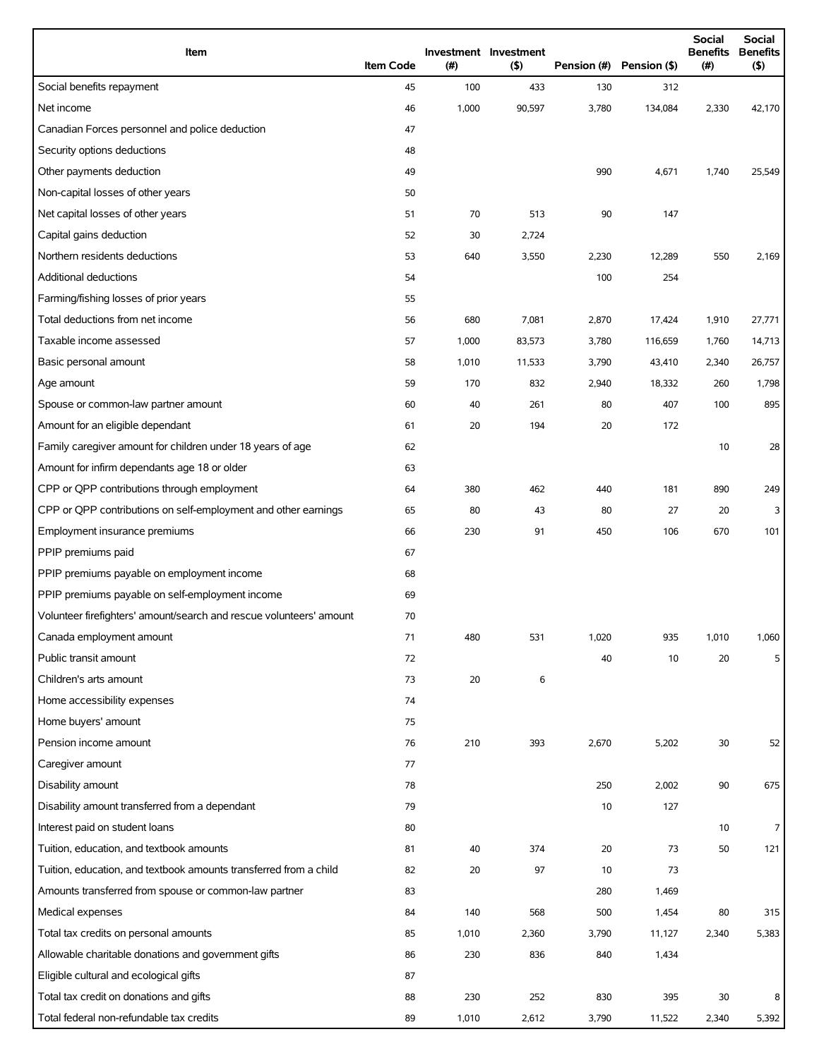| Item                                                                | <b>Item Code</b> | (#)   | Investment Investment<br>(5) |       | Pension (#) Pension (\$) | <b>Social</b><br><b>Benefits</b><br>(#) | <b>Social</b><br><b>Benefits</b><br>(5) |
|---------------------------------------------------------------------|------------------|-------|------------------------------|-------|--------------------------|-----------------------------------------|-----------------------------------------|
| Social benefits repayment                                           | 45               | 100   | 433                          | 130   | 312                      |                                         |                                         |
| Net income                                                          | 46               | 1,000 | 90,597                       | 3,780 | 134,084                  | 2,330                                   | 42,170                                  |
| Canadian Forces personnel and police deduction                      | 47               |       |                              |       |                          |                                         |                                         |
| Security options deductions                                         | 48               |       |                              |       |                          |                                         |                                         |
| Other payments deduction                                            | 49               |       |                              | 990   | 4,671                    | 1,740                                   | 25,549                                  |
| Non-capital losses of other years                                   | 50               |       |                              |       |                          |                                         |                                         |
| Net capital losses of other years                                   | 51               | 70    | 513                          | 90    | 147                      |                                         |                                         |
| Capital gains deduction                                             | 52               | 30    | 2,724                        |       |                          |                                         |                                         |
| Northern residents deductions                                       | 53               | 640   | 3,550                        | 2,230 | 12,289                   | 550                                     | 2,169                                   |
| Additional deductions                                               | 54               |       |                              | 100   | 254                      |                                         |                                         |
| Farming/fishing losses of prior years                               | 55               |       |                              |       |                          |                                         |                                         |
| Total deductions from net income                                    | 56               | 680   | 7,081                        | 2,870 | 17,424                   | 1,910                                   | 27,771                                  |
| Taxable income assessed                                             | 57               | 1,000 | 83,573                       | 3,780 | 116,659                  | 1,760                                   | 14,713                                  |
| Basic personal amount                                               | 58               | 1,010 | 11,533                       | 3,790 | 43,410                   | 2,340                                   | 26,757                                  |
| Age amount                                                          | 59               | 170   | 832                          | 2,940 | 18,332                   | 260                                     | 1,798                                   |
| Spouse or common-law partner amount                                 | 60               | 40    | 261                          | 80    | 407                      | 100                                     | 895                                     |
| Amount for an eligible dependant                                    | 61               | 20    | 194                          | 20    | 172                      |                                         |                                         |
| Family caregiver amount for children under 18 years of age          | 62               |       |                              |       |                          | 10                                      | 28                                      |
| Amount for infirm dependants age 18 or older                        | 63               |       |                              |       |                          |                                         |                                         |
| CPP or QPP contributions through employment                         | 64               | 380   | 462                          | 440   | 181                      | 890                                     | 249                                     |
| CPP or QPP contributions on self-employment and other earnings      | 65               | 80    | 43                           | 80    | 27                       | 20                                      | 3                                       |
| Employment insurance premiums                                       | 66               | 230   | 91                           | 450   | 106                      | 670                                     | 101                                     |
| PPIP premiums paid                                                  | 67               |       |                              |       |                          |                                         |                                         |
| PPIP premiums payable on employment income                          | 68               |       |                              |       |                          |                                         |                                         |
| PPIP premiums payable on self-employment income                     | 69               |       |                              |       |                          |                                         |                                         |
| Volunteer firefighters' amount/search and rescue volunteers' amount | 70               |       |                              |       |                          |                                         |                                         |
| Canada employment amount                                            | 71               | 480   | 531                          | 1,020 | 935                      | 1,010                                   | 1,060                                   |
| Public transit amount                                               | 72               |       |                              | 40    | 10                       | 20                                      | 5                                       |
| Children's arts amount                                              | 73               | 20    | 6                            |       |                          |                                         |                                         |
| Home accessibility expenses                                         | 74               |       |                              |       |                          |                                         |                                         |
| Home buyers' amount                                                 | 75               |       |                              |       |                          |                                         |                                         |
| Pension income amount                                               | 76               | 210   | 393                          | 2,670 | 5,202                    | 30                                      | 52                                      |
| Caregiver amount                                                    | 77               |       |                              |       |                          |                                         |                                         |
| Disability amount                                                   | 78               |       |                              | 250   | 2,002                    | 90                                      | 675                                     |
| Disability amount transferred from a dependant                      | 79               |       |                              | 10    | 127                      |                                         |                                         |
| Interest paid on student loans                                      | 80               |       |                              |       |                          | 10                                      | 7                                       |
| Tuition, education, and textbook amounts                            | 81               | 40    | 374                          | 20    | 73                       | 50                                      | 121                                     |
| Tuition, education, and textbook amounts transferred from a child   | 82               | 20    | 97                           | 10    | 73                       |                                         |                                         |
| Amounts transferred from spouse or common-law partner               | 83               |       |                              | 280   | 1,469                    |                                         |                                         |
| Medical expenses                                                    | 84               | 140   | 568                          | 500   | 1,454                    | 80                                      | 315                                     |
| Total tax credits on personal amounts                               | 85               | 1,010 | 2,360                        | 3,790 | 11,127                   | 2,340                                   | 5,383                                   |
| Allowable charitable donations and government gifts                 | 86               | 230   | 836                          | 840   | 1,434                    |                                         |                                         |
| Eligible cultural and ecological gifts                              | 87               |       |                              |       |                          |                                         |                                         |
| Total tax credit on donations and gifts                             | 88               | 230   | 252                          | 830   | 395                      | 30                                      | 8                                       |
| Total federal non-refundable tax credits                            | 89               | 1,010 | 2,612                        | 3,790 | 11,522                   | 2,340                                   | 5,392                                   |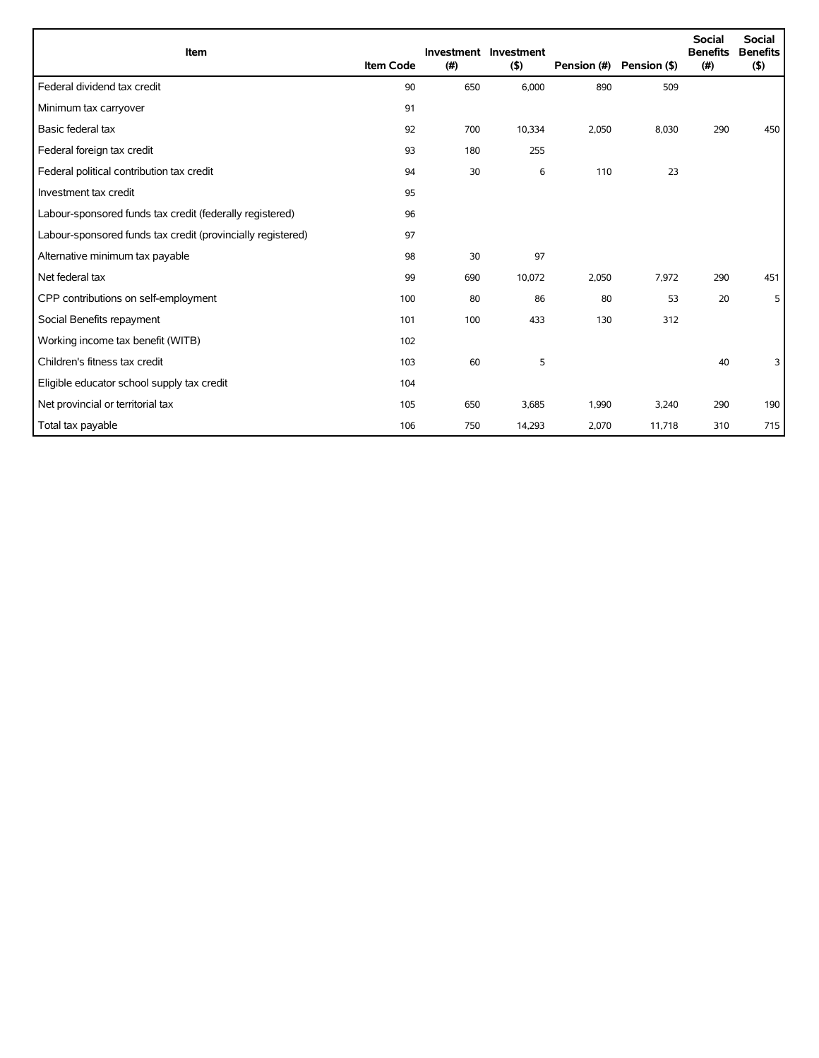| Item                                                        | <b>Item Code</b> | (#) | Investment Investment<br>(5) | Pension (#) | Pension (\$) | <b>Social</b><br><b>Benefits</b><br>(# ) | <b>Social</b><br><b>Benefits</b><br>(5) |
|-------------------------------------------------------------|------------------|-----|------------------------------|-------------|--------------|------------------------------------------|-----------------------------------------|
| Federal dividend tax credit                                 | 90               | 650 | 6,000                        | 890         | 509          |                                          |                                         |
| Minimum tax carryover                                       | 91               |     |                              |             |              |                                          |                                         |
| Basic federal tax                                           | 92               | 700 | 10,334                       | 2,050       | 8,030        | 290                                      | 450                                     |
| Federal foreign tax credit                                  | 93               | 180 | 255                          |             |              |                                          |                                         |
| Federal political contribution tax credit                   | 94               | 30  | 6                            | 110         | 23           |                                          |                                         |
| Investment tax credit                                       | 95               |     |                              |             |              |                                          |                                         |
| Labour-sponsored funds tax credit (federally registered)    | 96               |     |                              |             |              |                                          |                                         |
| Labour-sponsored funds tax credit (provincially registered) | 97               |     |                              |             |              |                                          |                                         |
| Alternative minimum tax payable                             | 98               | 30  | 97                           |             |              |                                          |                                         |
| Net federal tax                                             | 99               | 690 | 10,072                       | 2,050       | 7,972        | 290                                      | 451                                     |
| CPP contributions on self-employment                        | 100              | 80  | 86                           | 80          | 53           | 20                                       | 5                                       |
| Social Benefits repayment                                   | 101              | 100 | 433                          | 130         | 312          |                                          |                                         |
| Working income tax benefit (WITB)                           | 102              |     |                              |             |              |                                          |                                         |
| Children's fitness tax credit                               | 103              | 60  | 5                            |             |              | 40                                       | 3                                       |
| Eligible educator school supply tax credit                  | 104              |     |                              |             |              |                                          |                                         |
| Net provincial or territorial tax                           | 105              | 650 | 3,685                        | 1,990       | 3,240        | 290                                      | 190                                     |
| Total tax payable                                           | 106              | 750 | 14,293                       | 2,070       | 11,718       | 310                                      | 715                                     |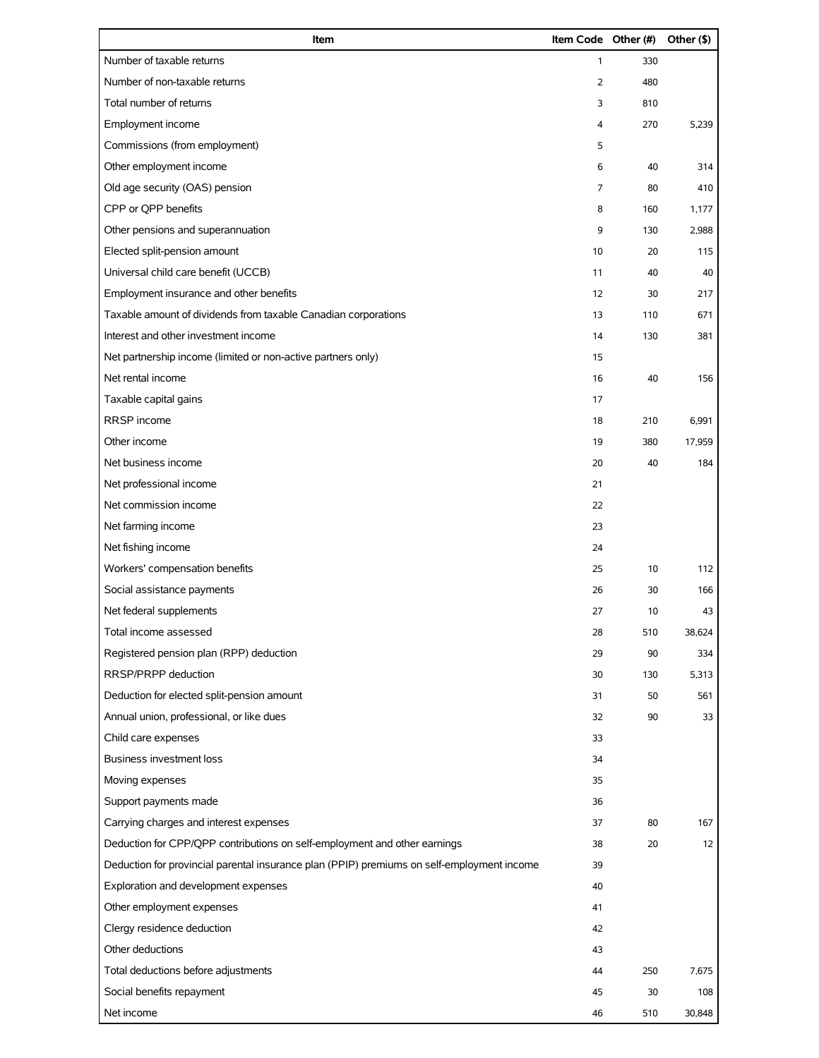| Item                                                                                       | Item Code Other (#) |     | Other (\$) |
|--------------------------------------------------------------------------------------------|---------------------|-----|------------|
| Number of taxable returns                                                                  | 1                   | 330 |            |
| Number of non-taxable returns                                                              | 2                   | 480 |            |
| Total number of returns                                                                    | 3                   | 810 |            |
| Employment income                                                                          | 4                   | 270 | 5,239      |
| Commissions (from employment)                                                              | 5                   |     |            |
| Other employment income                                                                    | 6                   | 40  | 314        |
| Old age security (OAS) pension                                                             | 7                   | 80  | 410        |
| CPP or QPP benefits                                                                        | 8                   | 160 | 1,177      |
| Other pensions and superannuation                                                          | 9                   | 130 | 2,988      |
| Elected split-pension amount                                                               | 10                  | 20  | 115        |
| Universal child care benefit (UCCB)                                                        | 11                  | 40  | 40         |
| Employment insurance and other benefits                                                    | 12                  | 30  | 217        |
| Taxable amount of dividends from taxable Canadian corporations                             | 13                  | 110 | 671        |
| Interest and other investment income                                                       | 14                  | 130 | 381        |
| Net partnership income (limited or non-active partners only)                               | 15                  |     |            |
| Net rental income                                                                          | 16                  | 40  | 156        |
| Taxable capital gains                                                                      | 17                  |     |            |
| RRSP income                                                                                | 18                  | 210 | 6,991      |
| Other income                                                                               | 19                  | 380 | 17,959     |
| Net business income                                                                        | 20                  | 40  | 184        |
| Net professional income                                                                    | 21                  |     |            |
| Net commission income                                                                      | 22                  |     |            |
| Net farming income                                                                         | 23                  |     |            |
| Net fishing income                                                                         | 24                  |     |            |
| Workers' compensation benefits                                                             | 25                  | 10  | 112        |
| Social assistance payments                                                                 | 26                  | 30  | 166        |
| Net federal supplements                                                                    | 27                  | 10  | 43         |
| Total income assessed                                                                      | 28                  | 510 | 38,624     |
| Registered pension plan (RPP) deduction                                                    | 29                  | 90  | 334        |
| RRSP/PRPP deduction                                                                        | 30                  | 130 | 5,313      |
| Deduction for elected split-pension amount                                                 | 31                  | 50  | 561        |
| Annual union, professional, or like dues                                                   | 32                  | 90  | 33         |
| Child care expenses                                                                        | 33                  |     |            |
| <b>Business investment loss</b>                                                            | 34                  |     |            |
| Moving expenses                                                                            | 35                  |     |            |
| Support payments made                                                                      | 36                  |     |            |
| Carrying charges and interest expenses                                                     | 37                  | 80  | 167        |
| Deduction for CPP/QPP contributions on self-employment and other earnings                  | 38                  | 20  | 12         |
| Deduction for provincial parental insurance plan (PPIP) premiums on self-employment income | 39                  |     |            |
| Exploration and development expenses                                                       | 40                  |     |            |
| Other employment expenses                                                                  | 41                  |     |            |
| Clergy residence deduction                                                                 | 42                  |     |            |
| Other deductions                                                                           | 43                  |     |            |
| Total deductions before adjustments                                                        | 44                  | 250 | 7,675      |
| Social benefits repayment                                                                  | 45                  | 30  | 108        |
| Net income                                                                                 | 46                  | 510 | 30,848     |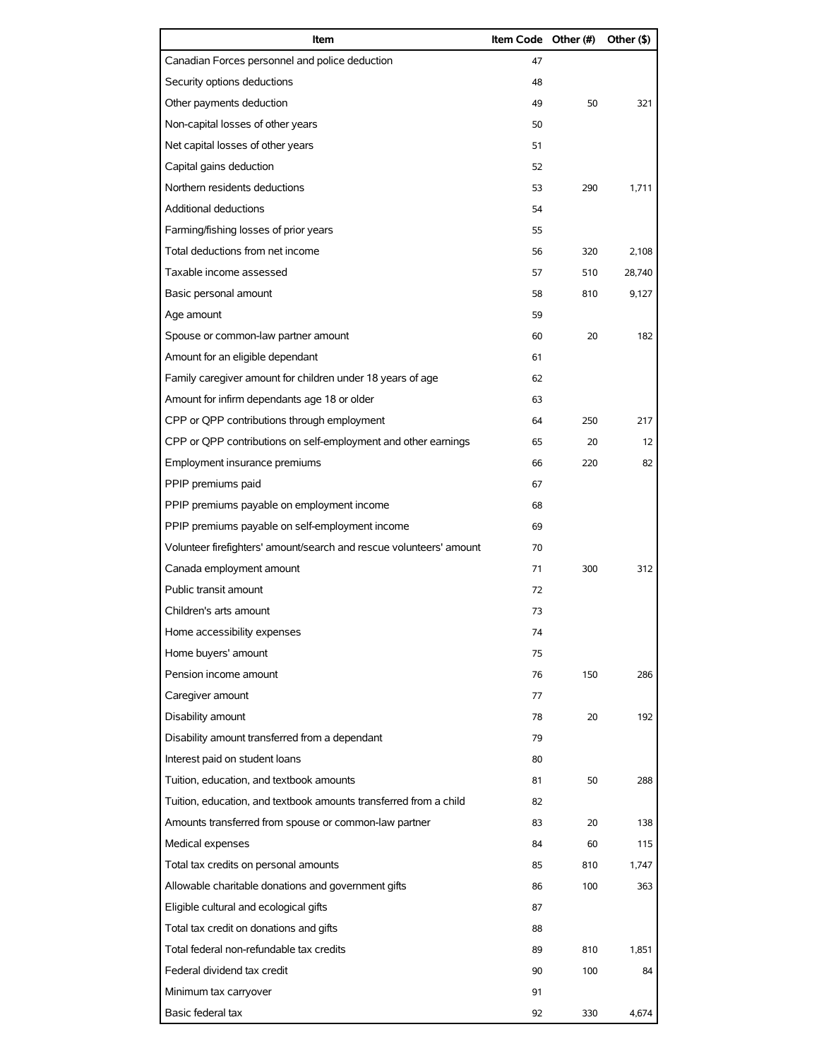| Item                                                                | Item Code Other (#) |     | Other (\$) |
|---------------------------------------------------------------------|---------------------|-----|------------|
| Canadian Forces personnel and police deduction                      | 47                  |     |            |
| Security options deductions                                         | 48                  |     |            |
| Other payments deduction                                            | 49                  | 50  | 321        |
| Non-capital losses of other years                                   | 50                  |     |            |
| Net capital losses of other years                                   | 51                  |     |            |
| Capital gains deduction                                             | 52                  |     |            |
| Northern residents deductions                                       | 53                  | 290 | 1,711      |
| Additional deductions                                               | 54                  |     |            |
| Farming/fishing losses of prior years                               | 55                  |     |            |
| Total deductions from net income                                    | 56                  | 320 | 2,108      |
| Taxable income assessed                                             | 57                  | 510 | 28,740     |
| Basic personal amount                                               | 58                  | 810 | 9,127      |
| Age amount                                                          | 59                  |     |            |
| Spouse or common-law partner amount                                 | 60                  | 20  | 182        |
| Amount for an eligible dependant                                    | 61                  |     |            |
| Family caregiver amount for children under 18 years of age          | 62                  |     |            |
| Amount for infirm dependants age 18 or older                        | 63                  |     |            |
| CPP or QPP contributions through employment                         | 64                  | 250 | 217        |
| CPP or QPP contributions on self-employment and other earnings      | 65                  | 20  | 12         |
| Employment insurance premiums                                       | 66                  | 220 | 82         |
| PPIP premiums paid                                                  | 67                  |     |            |
| PPIP premiums payable on employment income                          | 68                  |     |            |
| PPIP premiums payable on self-employment income                     | 69                  |     |            |
| Volunteer firefighters' amount/search and rescue volunteers' amount | 70                  |     |            |
| Canada employment amount                                            | 71                  | 300 | 312        |
| Public transit amount                                               | 72                  |     |            |
| Children's arts amount                                              | 73                  |     |            |
| Home accessibility expenses                                         | 74                  |     |            |
| Home buyers' amount                                                 | 75                  |     |            |
| Pension income amount                                               | 76                  | 150 | 286        |
| Caregiver amount                                                    | 77                  |     |            |
| Disability amount                                                   | 78                  | 20  | 192        |
| Disability amount transferred from a dependant                      | 79                  |     |            |
| Interest paid on student loans                                      | 80                  |     |            |
| Tuition, education, and textbook amounts                            | 81                  | 50  | 288        |
| Tuition, education, and textbook amounts transferred from a child   | 82                  |     |            |
| Amounts transferred from spouse or common-law partner               | 83                  | 20  | 138        |
| Medical expenses                                                    | 84                  | 60  | 115        |
| Total tax credits on personal amounts                               | 85                  | 810 | 1,747      |
| Allowable charitable donations and government gifts                 | 86                  | 100 | 363        |
| Eligible cultural and ecological gifts                              | 87                  |     |            |
| Total tax credit on donations and gifts                             | 88                  |     |            |
| Total federal non-refundable tax credits                            | 89                  | 810 | 1,851      |
| Federal dividend tax credit                                         | 90                  | 100 | 84         |
| Minimum tax carryover                                               | 91                  |     |            |
| Basic federal tax                                                   | 92                  | 330 | 4,674      |